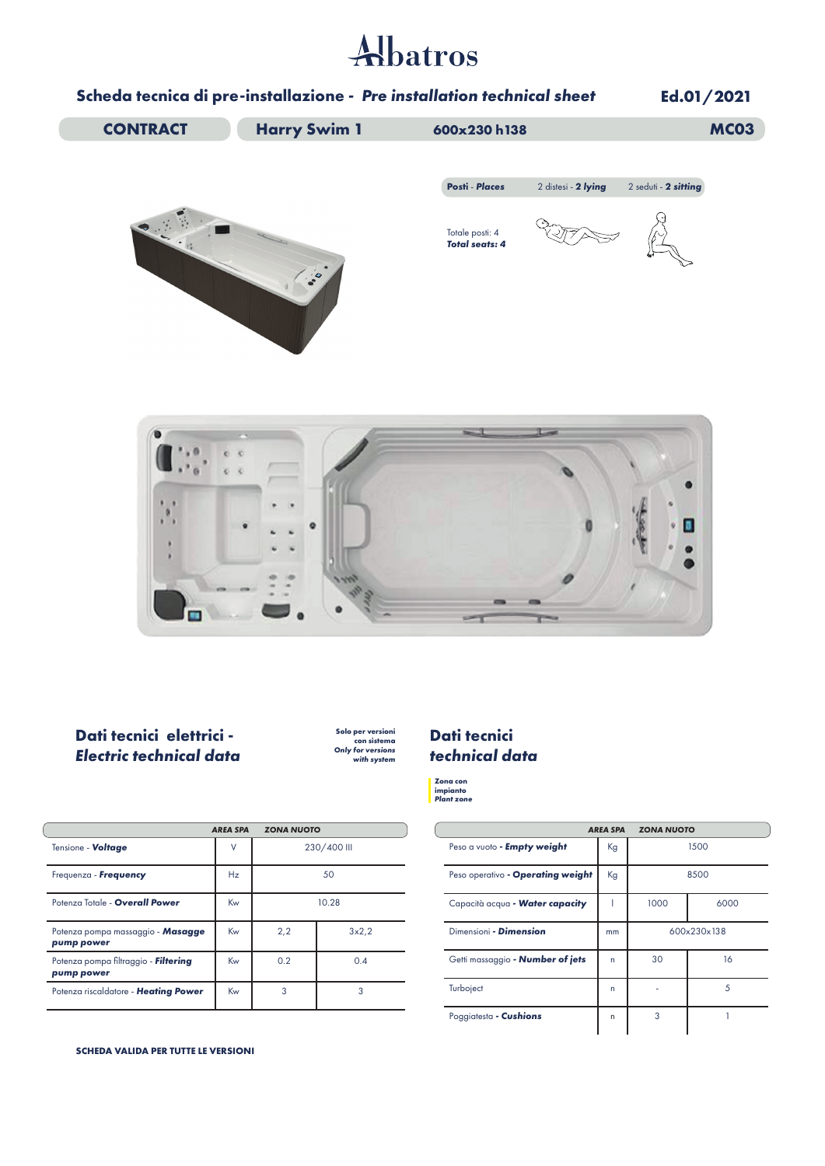# Albatros

### **Scheda tecnica di pre-installazione** *- Pre installation technical sheet*

**Ed.01/2021 CONTRACT Harry Swim 1** 600x230 h138 **MC03 Posti** - *Places* 2 distesi - *2 lying* 2 seduti - *2 sitting* **COLL** Totale posti: 4 *Total seats: 4* 100 × a

#### **Dati tecnici elettrici -**  *Electric technical data*

 $\blacksquare$ 

**Solo per versioni con sistema** *Only for versions with system*

#### **Dati tecnici**  *technical data*

**Zona con impianto** *Plant zone*

|                                                    | <b>AREA SPA</b> | <b>ZONA NUOTO</b> |       |                                   | <b>AREA SPA</b> | <b>ZONA NUOTO</b> |   |
|----------------------------------------------------|-----------------|-------------------|-------|-----------------------------------|-----------------|-------------------|---|
| Tensione - Voltage                                 | V               | 230/400 III       |       | Peso a vuoto - Empty weight       | Kg              |                   | ĸ |
| Frequenza - Frequency                              | Hz              | 50                |       | Peso operativo - Operating weight | Kg              |                   | 8 |
| Potenza Totale - Overall Power                     | Kw              | 10.28             |       | Capacità acqua - Water capacity   |                 | 1000              |   |
| Potenza pompa massaggio - Masagge<br>pump power    | Kw              | 2,2               | 3x2,2 | Dimensioni - Dimension            | mm              | 600x2             |   |
| Potenza pompa filtraggio - Filtering<br>pump power | Kw              | 0.2               | 0.4   | Getti massaggio - Number of jets  | n               | 30                |   |
| Potenza riscaldatore - Heating Power               | Kw              | 3                 | 3     | Turboject                         | n               |                   |   |
|                                                    |                 |                   |       |                                   |                 |                   |   |

**SCHEDA VALIDA PER TUTTE LE VERSIONI**

| <b>AREA SPA</b>                   | <b>ZONA NUOTO</b> |             |      |
|-----------------------------------|-------------------|-------------|------|
| Peso a vuoto - Empty weight       | Kg                |             | 1500 |
| Peso operativo - Operating weight | Kg                | 8500        |      |
| Capacità acqua - Water capacity   |                   | 1000        | 6000 |
| Dimensioni - Dimension            | mm                | 600x230x138 |      |
| Getti massaggio - Number of jets  | n                 | 30          | 16   |
| Turboject                         | n                 |             | 5    |
| Poggiatesta - Cushions            | n                 | 3           |      |